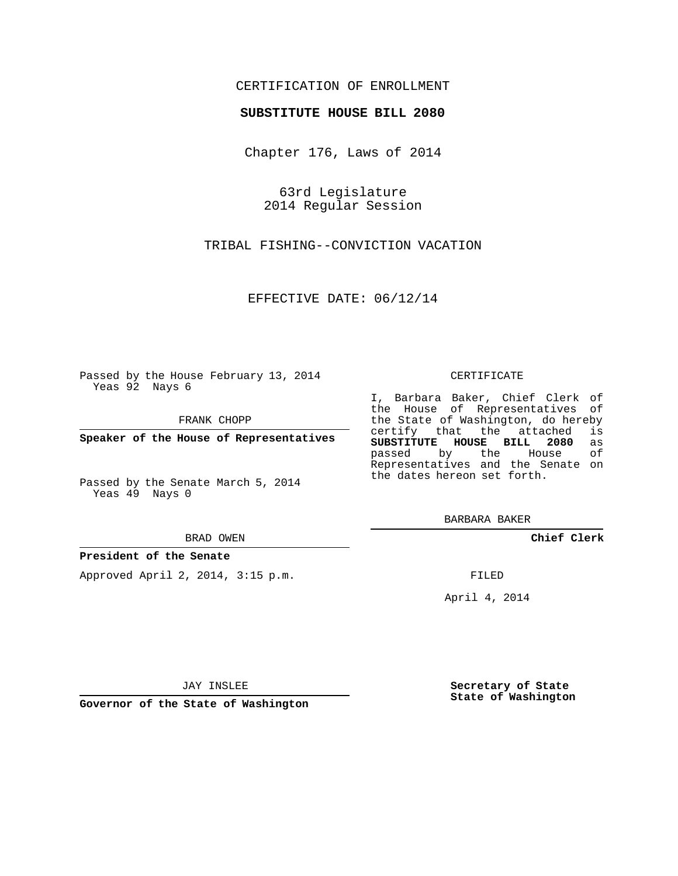## CERTIFICATION OF ENROLLMENT

### **SUBSTITUTE HOUSE BILL 2080**

Chapter 176, Laws of 2014

63rd Legislature 2014 Regular Session

TRIBAL FISHING--CONVICTION VACATION

EFFECTIVE DATE: 06/12/14

Passed by the House February 13, 2014 Yeas 92 Nays 6

FRANK CHOPP

**Speaker of the House of Representatives**

Passed by the Senate March 5, 2014 Yeas 49 Nays 0

BRAD OWEN

### **President of the Senate**

Approved April 2, 2014, 3:15 p.m.

#### CERTIFICATE

I, Barbara Baker, Chief Clerk of the House of Representatives of the State of Washington, do hereby<br>certify that the attached is certify that the attached **SUBSTITUTE HOUSE BILL 2080** as passed by the Representatives and the Senate on the dates hereon set forth.

BARBARA BAKER

**Chief Clerk**

FILED

April 4, 2014

JAY INSLEE

**Governor of the State of Washington**

**Secretary of State State of Washington**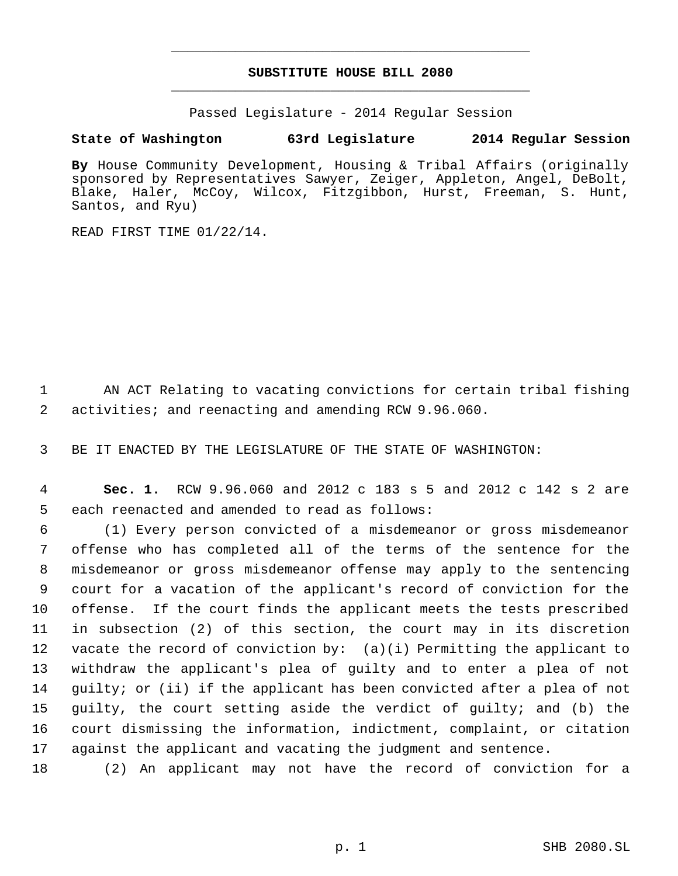# **SUBSTITUTE HOUSE BILL 2080** \_\_\_\_\_\_\_\_\_\_\_\_\_\_\_\_\_\_\_\_\_\_\_\_\_\_\_\_\_\_\_\_\_\_\_\_\_\_\_\_\_\_\_\_\_

\_\_\_\_\_\_\_\_\_\_\_\_\_\_\_\_\_\_\_\_\_\_\_\_\_\_\_\_\_\_\_\_\_\_\_\_\_\_\_\_\_\_\_\_\_

Passed Legislature - 2014 Regular Session

## **State of Washington 63rd Legislature 2014 Regular Session**

**By** House Community Development, Housing & Tribal Affairs (originally sponsored by Representatives Sawyer, Zeiger, Appleton, Angel, DeBolt, Blake, Haler, McCoy, Wilcox, Fitzgibbon, Hurst, Freeman, S. Hunt, Santos, and Ryu)

READ FIRST TIME 01/22/14.

1 AN ACT Relating to vacating convictions for certain tribal fishing 2 activities; and reenacting and amending RCW 9.96.060.

3 BE IT ENACTED BY THE LEGISLATURE OF THE STATE OF WASHINGTON:

 4 **Sec. 1.** RCW 9.96.060 and 2012 c 183 s 5 and 2012 c 142 s 2 are 5 each reenacted and amended to read as follows:

 (1) Every person convicted of a misdemeanor or gross misdemeanor offense who has completed all of the terms of the sentence for the misdemeanor or gross misdemeanor offense may apply to the sentencing court for a vacation of the applicant's record of conviction for the offense. If the court finds the applicant meets the tests prescribed in subsection (2) of this section, the court may in its discretion vacate the record of conviction by: (a)(i) Permitting the applicant to withdraw the applicant's plea of guilty and to enter a plea of not guilty; or (ii) if the applicant has been convicted after a plea of not guilty, the court setting aside the verdict of guilty; and (b) the court dismissing the information, indictment, complaint, or citation against the applicant and vacating the judgment and sentence.

18 (2) An applicant may not have the record of conviction for a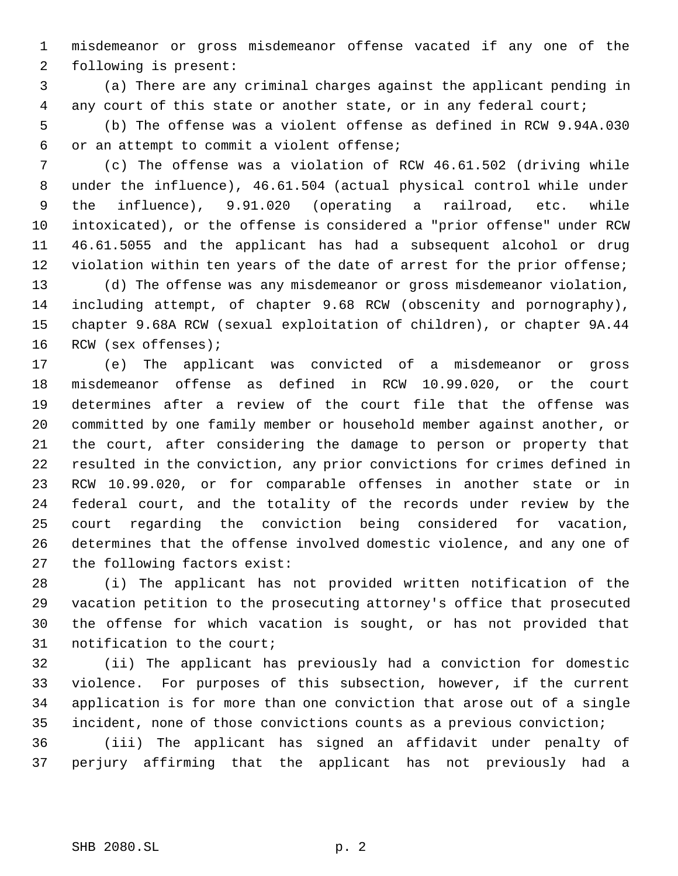misdemeanor or gross misdemeanor offense vacated if any one of the following is present:

 (a) There are any criminal charges against the applicant pending in 4 any court of this state or another state, or in any federal court;

 (b) The offense was a violent offense as defined in RCW 9.94A.030 or an attempt to commit a violent offense;

 (c) The offense was a violation of RCW 46.61.502 (driving while under the influence), 46.61.504 (actual physical control while under the influence), 9.91.020 (operating a railroad, etc. while intoxicated), or the offense is considered a "prior offense" under RCW 46.61.5055 and the applicant has had a subsequent alcohol or drug 12 violation within ten years of the date of arrest for the prior offense;

 (d) The offense was any misdemeanor or gross misdemeanor violation, including attempt, of chapter 9.68 RCW (obscenity and pornography), chapter 9.68A RCW (sexual exploitation of children), or chapter 9A.44 RCW (sex offenses);

 (e) The applicant was convicted of a misdemeanor or gross misdemeanor offense as defined in RCW 10.99.020, or the court determines after a review of the court file that the offense was committed by one family member or household member against another, or the court, after considering the damage to person or property that resulted in the conviction, any prior convictions for crimes defined in RCW 10.99.020, or for comparable offenses in another state or in federal court, and the totality of the records under review by the court regarding the conviction being considered for vacation, determines that the offense involved domestic violence, and any one of the following factors exist:

 (i) The applicant has not provided written notification of the vacation petition to the prosecuting attorney's office that prosecuted the offense for which vacation is sought, or has not provided that notification to the court;

 (ii) The applicant has previously had a conviction for domestic violence. For purposes of this subsection, however, if the current application is for more than one conviction that arose out of a single incident, none of those convictions counts as a previous conviction;

 (iii) The applicant has signed an affidavit under penalty of perjury affirming that the applicant has not previously had a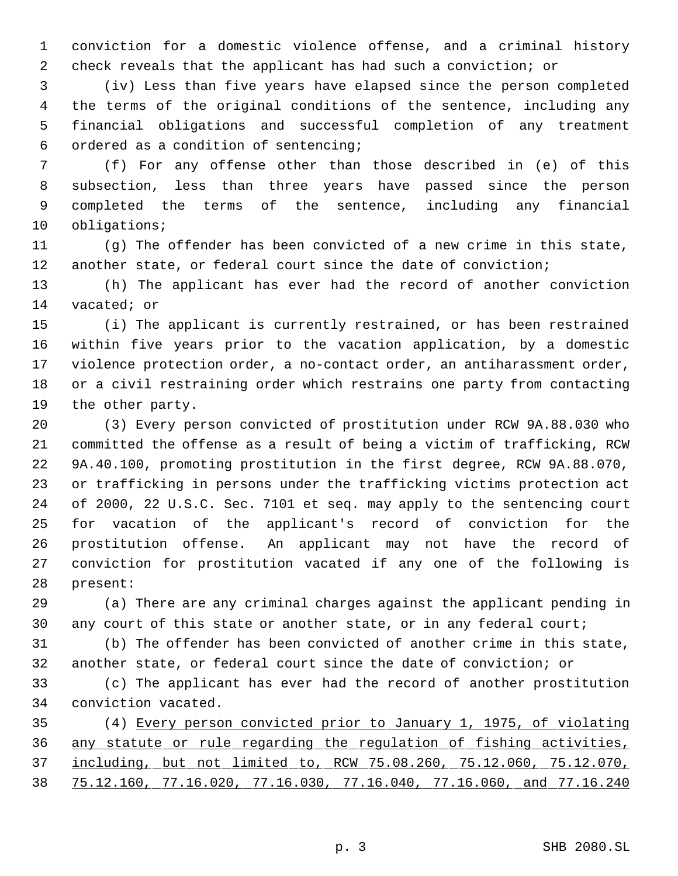conviction for a domestic violence offense, and a criminal history check reveals that the applicant has had such a conviction; or

 (iv) Less than five years have elapsed since the person completed the terms of the original conditions of the sentence, including any financial obligations and successful completion of any treatment ordered as a condition of sentencing;

 (f) For any offense other than those described in (e) of this subsection, less than three years have passed since the person completed the terms of the sentence, including any financial obligations;

 (g) The offender has been convicted of a new crime in this state, another state, or federal court since the date of conviction;

 (h) The applicant has ever had the record of another conviction vacated; or

 (i) The applicant is currently restrained, or has been restrained within five years prior to the vacation application, by a domestic violence protection order, a no-contact order, an antiharassment order, or a civil restraining order which restrains one party from contacting the other party.

 (3) Every person convicted of prostitution under RCW 9A.88.030 who committed the offense as a result of being a victim of trafficking, RCW 9A.40.100, promoting prostitution in the first degree, RCW 9A.88.070, or trafficking in persons under the trafficking victims protection act of 2000, 22 U.S.C. Sec. 7101 et seq. may apply to the sentencing court for vacation of the applicant's record of conviction for the prostitution offense. An applicant may not have the record of conviction for prostitution vacated if any one of the following is present:

 (a) There are any criminal charges against the applicant pending in any court of this state or another state, or in any federal court;

 (b) The offender has been convicted of another crime in this state, another state, or federal court since the date of conviction; or

 (c) The applicant has ever had the record of another prostitution conviction vacated.

 (4) Every person convicted prior to January 1, 1975, of violating any statute or rule regarding the regulation of fishing activities, including, but not limited to, RCW 75.08.260, 75.12.060, 75.12.070, 75.12.160, 77.16.020, 77.16.030, 77.16.040, 77.16.060, and 77.16.240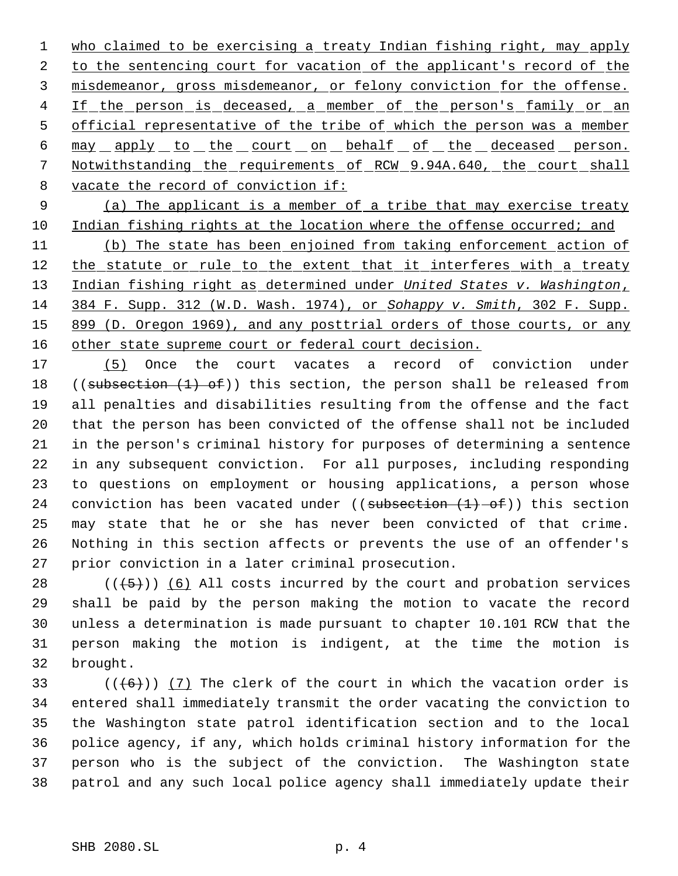1 who claimed to be exercising a treaty Indian fishing right, may apply 2 to the sentencing court for vacation of the applicant's record of the 3 misdemeanor, gross misdemeanor, or felony conviction for the offense. 4 If the person is deceased, a member of the person's family or an 5 official representative of the tribe of which the person was a member 6 may apply to the court on behalf of the deceased person. Notwithstanding the requirements of RCW 9.94A.640, the court shall vacate the record of conviction if:

 (a) The applicant is a member of a tribe that may exercise treaty Indian fishing rights at the location where the offense occurred; and

 (b) The state has been enjoined from taking enforcement action of 12 the statute or rule to the extent that it interferes with a treaty Indian fishing right as determined under *United States v. Washington*, 384 F. Supp. 312 (W.D. Wash. 1974), or *Sohappy v. Smith*, 302 F. Supp. 15 899 (D. Oregon 1969), and any posttrial orders of those courts, or any 16 other state supreme court or federal court decision.

 (5) Once the court vacates a record of conviction under 18 ((subsection (1) of)) this section, the person shall be released from all penalties and disabilities resulting from the offense and the fact that the person has been convicted of the offense shall not be included in the person's criminal history for purposes of determining a sentence in any subsequent conviction. For all purposes, including responding to questions on employment or housing applications, a person whose 24 conviction has been vacated under ((subsection  $(1)$  of)) this section may state that he or she has never been convicted of that crime. Nothing in this section affects or prevents the use of an offender's prior conviction in a later criminal prosecution.

 $((+5))$  (6) All costs incurred by the court and probation services shall be paid by the person making the motion to vacate the record unless a determination is made pursuant to chapter 10.101 RCW that the person making the motion is indigent, at the time the motion is brought.

 $((+6))$   $(7)$  The clerk of the court in which the vacation order is entered shall immediately transmit the order vacating the conviction to the Washington state patrol identification section and to the local police agency, if any, which holds criminal history information for the person who is the subject of the conviction. The Washington state patrol and any such local police agency shall immediately update their